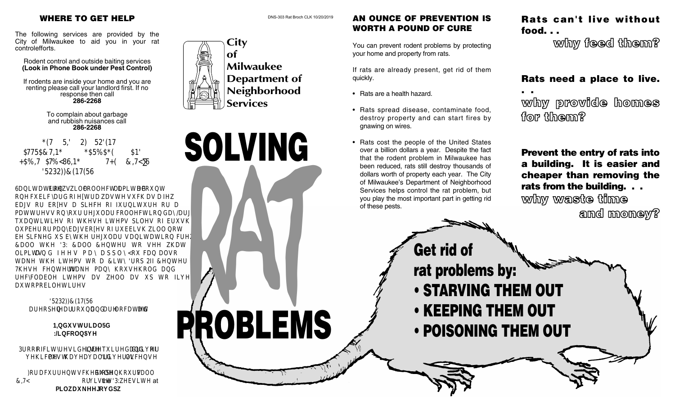The following services are provided by the City of Milwaukee to aid you in your rat controlefforts.

Rodent control and outside baiting services **(Look in Phone Book under Pest Control)**

If rodents are inside your home and you are renting please call your landlord first. If no response then call **286-2268**

> To complain about garbage and rubbish nuisances call **286-2268**



**6DQLWDWLRQ FUHZV ZLOO FROOHFW D OLPLWHG DPRXQW REELF H HF H EH SLHFH LH P** HFL LLH HHLHPSLH E PEH P E E H EEL L EH SLFH SE HH L L FH **&DOO WKH '3: &DOO &HQWHU WR VHH ZKDW** LPL HHP SS F **HHLHPLS2HH THE RUBICAL PDAM UHF\FODEOH LWHPV DV ZHOO DV XS WR ILYH PELHLH** 

> **'5232))&(17(56 DUHRSHQ \HDU URXQG DQG DUH ORFDWHG DW**

> > **1,QGXVWULDO5G :/LQFROQ\$YH**

**3URRI RIFLW\UHVLGHQFH LV UHTXLUHGDQG GULYHU RI HLFHP H** L LH LFHH

 $F$  **H**  $F$ H  $F$ H **F LL**the  $\ddot{\text{O}}\dot{\text{U}}$  Y eà•ite at  $\{ \nparallel$ , a  $\text{Def}^*$  [c $\vartheta$ a].







## AN OUNCE OF PREVENTION IS WORTH A POUND OF CURE

You can prevent rodent problems by protecting your home and property from rats.

If rats are already present, get rid of them quickly.

- Rats are a health hazard.
- Rats spread disease, contaminate food, destroy property and can start fires by gnawing on wires.
- Rats cost the people of the United States over a billion dollars a year. Despite the fact that the rodent problem in Milwaukee has been reduced, rats still destroy thousands of dollars worth of property each year. The City of Milwaukee's Department of Neighborhood Services helps control the rat problem, but you play the most important part in getting rid of these pests.

rat problems by:

• STARVING THEM OUT

• POISONING THEM OUT

• KEEPING THEM OUT

# Rats can't live without food. . .

why feed them?

# Rats need a place to live.

why provide homes  $\frac{1}{2}$  from  $\frac{1}{2}$ 

. .

Prevent the entry of rats into a building. It is easier and cheaper than removing the rats from the building. . . why waste time

and money?